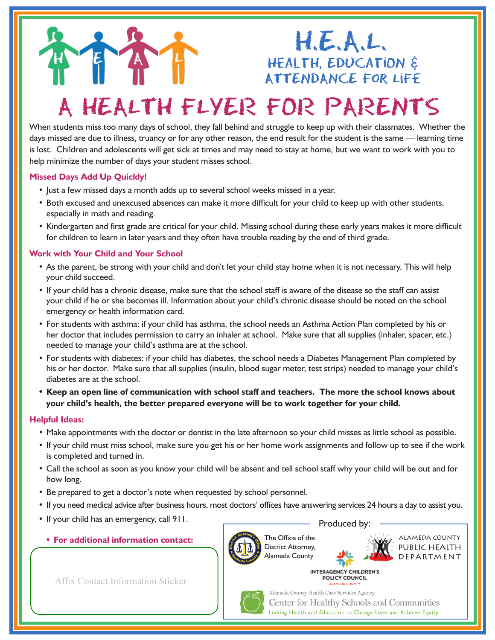## $H.E.A.L.$ HEALTH, EDUCATION & ATTENDANCE FOR LIFE

# A HEALTH FLYER FOR PARENTS

When students miss too many days of school, they fall behind and struggle to keep up with their classmates. Whether the days missed are due to illness, truancy or for any other reason, the end result for the student is the same — learning time is lost. Children and adolescents will get sick at times and may need to stay at home, but we want to work with you to help minimize the number of days your student misses school.

#### **Missed Days Add Up Quickly!**

- Just a few missed days a month adds up to several school weeks missed in a year.
- Both excused and unexcused absences can make it more difficult for your child to keep up with other students, especially in math and reading.
- Kindergarten and first grade are critical for your child. Missing school during these early years makes it more difficult for children to learn in later years and they often have trouble reading by the end of third grade.

#### **Work with Your Child and Your School**

- As the parent, be strong with your child and don't let your child stay home when it is not necessary. This will help your child succeed.
- If your child has a chronic disease, make sure that the school staff is aware of the disease so the staff can assist your child if he or she becomes ill. Information about your child's chronic disease should be noted on the school emergency or health information card.
- For students with asthma: if your child has asthma, the school needs an Asthma Action Plan completed by his or her doctor that includes permission to carry an inhaler at school. Make sure that all supplies (inhaler, spacer, etc.) needed to manage your child's asthma are at the school.
- For students with diabetes: if your child has diabetes, the school needs a Diabetes Management Plan completed by his or her doctor. Make sure that all supplies (insulin, blood sugar meter, test strips) needed to manage your child's diabetes are at the school.
- **• Keep an open line of communication with school staff and teachers. The more the school knows about your child's health, the better prepared everyone will be to work together for your child.**

#### **Helpful Ideas:**

- Make appointments with the doctor or dentist in the late afternoon so your child misses as little school as possible.
- If your child must miss school, make sure you get his or her home work assignments and follow up to see if the work is completed and turned in.
- Call the school as soon as you know your child will be absent and tell school staff why your child will be out and for how long.
- Be prepared to get a doctor's note when requested by school personnel.
- If you need medical advice after business hours, most doctors' offices have answering services 24 hours a day to assist you.
- If your child has an emergency, call 911.
	- **• For additional information contact:**

Produced by:

**INTERAGENCY CHILDREN'S POLICY COUNCIL** 



The Office of the District Attorney, Alameda County



ALAMEDA COUNTY PUBLIC HEALTH DEPARTMENT

Affix Contact Information Sticker

Alameda County Health Care Services Agency Center for Healthy Schools and Communities Linking Health and Education to Change Lives and Achieve Equity